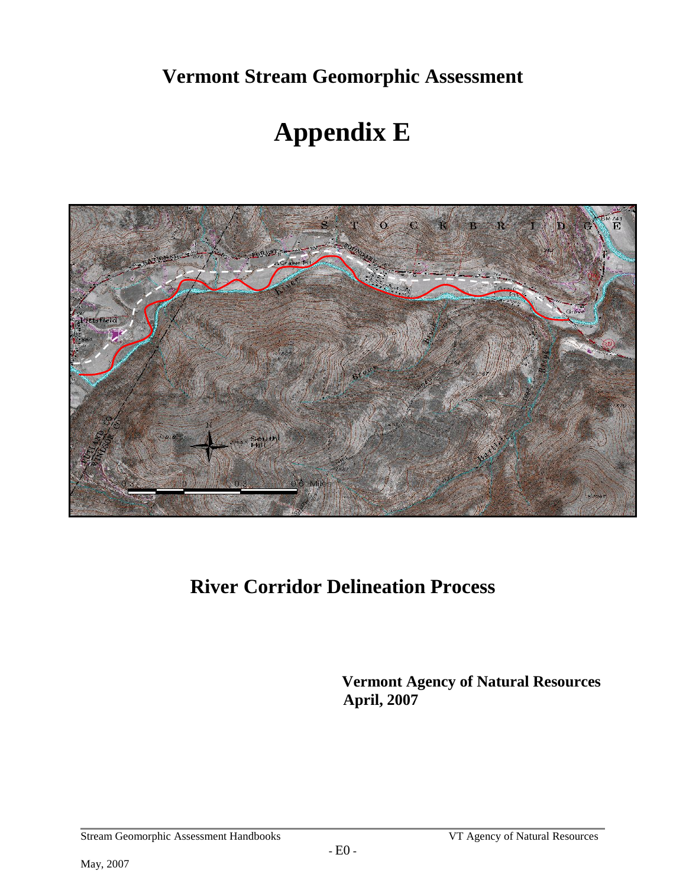**Vermont Stream Geomorphic Assessment** 

# **Appendix E**



# **River Corridor Delineation Process**

 **Vermont Agency of Natural Resources April, 2007**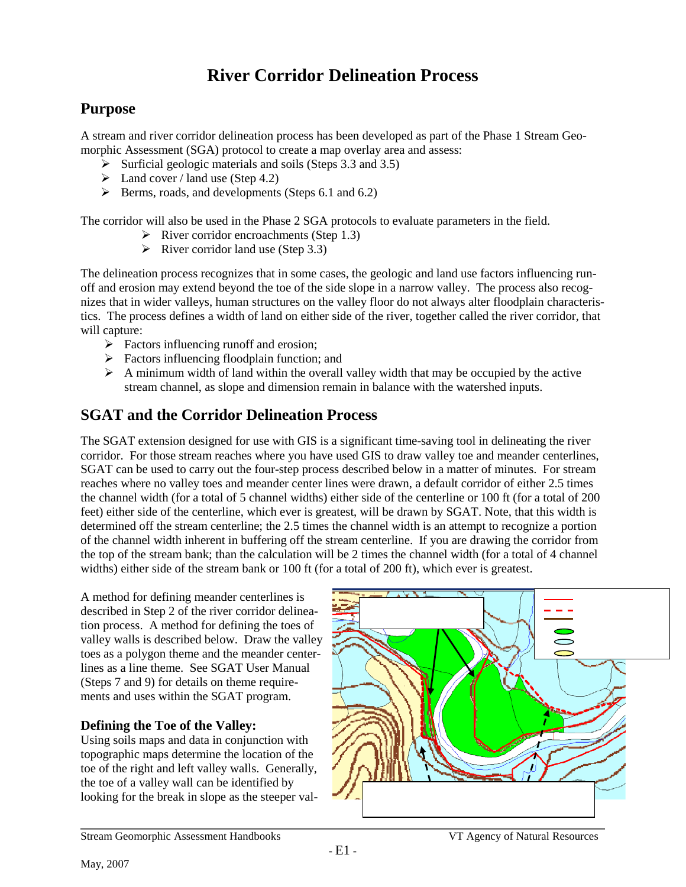## **River Corridor Delineation Process**

## **Purpose**

A stream and river corridor delineation process has been developed as part of the Phase 1 Stream Geomorphic Assessment (SGA) protocol to create a map overlay area and assess:

- $\triangleright$  Surficial geologic materials and soils (Steps 3.3 and 3.5)
- $\blacktriangleright$  Land cover / land use (Step 4.2)
- $\triangleright$  Berms, roads, and developments (Steps 6.1 and 6.2)

The corridor will also be used in the Phase 2 SGA protocols to evaluate parameters in the field.

- $\triangleright$  River corridor encroachments (Step 1.3)
	- $\triangleright$  River corridor land use (Step 3.3)

The delineation process recognizes that in some cases, the geologic and land use factors influencing runoff and erosion may extend beyond the toe of the side slope in a narrow valley. The process also recognizes that in wider valleys, human structures on the valley floor do not always alter floodplain characteristics. The process defines a width of land on either side of the river, together called the river corridor, that will capture:

- $\triangleright$  Factors influencing runoff and erosion;
- $\triangleright$  Factors influencing floodplain function; and
- $\triangleright$  A minimum width of land within the overall valley width that may be occupied by the active stream channel, as slope and dimension remain in balance with the watershed inputs.

## **SGAT and the Corridor Delineation Process**

The SGAT extension designed for use with GIS is a significant time-saving tool in delineating the river corridor. For those stream reaches where you have used GIS to draw valley toe and meander centerlines, SGAT can be used to carry out the four-step process described below in a matter of minutes. For stream reaches where no valley toes and meander center lines were drawn, a default corridor of either 2.5 times the channel width (for a total of 5 channel widths) either side of the centerline or 100 ft (for a total of 200 feet) either side of the centerline, which ever is greatest, will be drawn by SGAT. Note, that this width is determined off the stream centerline; the 2.5 times the channel width is an attempt to recognize a portion of the channel width inherent in buffering off the stream centerline. If you are drawing the corridor from the top of the stream bank; than the calculation will be 2 times the channel width (for a total of 4 channel widths) either side of the stream bank or 100 ft (for a total of 200 ft), which ever is greatest.

A method for defining meander centerlines is described in Step 2 of the river corridor delineation process. A method for defining the toes of valley walls is described below. Draw the valley toes as a polygon theme and the meander centerlines as a line theme. See SGAT User Manual (Steps 7 and 9) for details on theme requirements and uses within the SGAT program.

#### **Defining the Toe of the Valley:**

Using soils maps and data in conjunction with topographic maps determine the location of the toe of the right and left valley walls. Generally, the toe of a valley wall can be identified by looking for the break in slope as the steeper val-

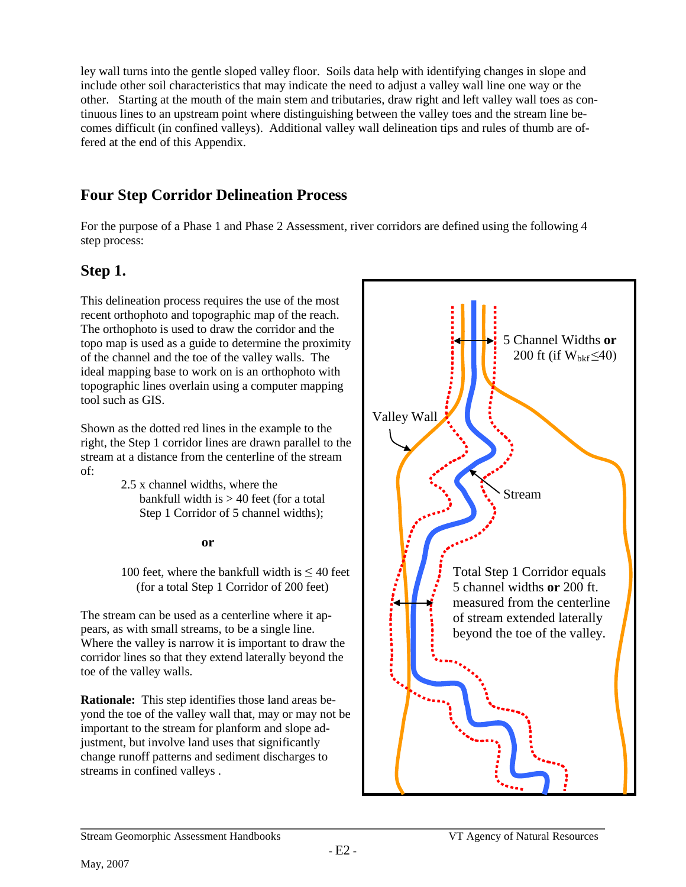ley wall turns into the gentle sloped valley floor. Soils data help with identifying changes in slope and include other soil characteristics that may indicate the need to adjust a valley wall line one way or the other. Starting at the mouth of the main stem and tributaries, draw right and left valley wall toes as continuous lines to an upstream point where distinguishing between the valley toes and the stream line becomes difficult (in confined valleys). Additional valley wall delineation tips and rules of thumb are offered at the end of this Appendix.

## **Four Step Corridor Delineation Process**

For the purpose of a Phase 1 and Phase 2 Assessment, river corridors are defined using the following 4 step process:

## **Step 1.**

This delineation process requires the use of the most recent orthophoto and topographic map of the reach. The orthophoto is used to draw the corridor and the topo map is used as a guide to determine the proximity of the channel and the toe of the valley walls. The ideal mapping base to work on is an orthophoto with topographic lines overlain using a computer mapping tool such as GIS.

Shown as the dotted red lines in the example to the right, the Step 1 corridor lines are drawn parallel to the stream at a distance from the centerline of the stream of:

> 2.5 x channel widths, where the bankfull width is  $> 40$  feet (for a total Step 1 Corridor of 5 channel widths);

#### **or**

100 feet, where the bankfull width is  $\leq 40$  feet (for a total Step 1 Corridor of 200 feet)

The stream can be used as a centerline where it appears, as with small streams, to be a single line. Where the valley is narrow it is important to draw the corridor lines so that they extend laterally beyond the toe of the valley walls.

**Rationale:** This step identifies those land areas beyond the toe of the valley wall that, may or may not be important to the stream for planform and slope adjustment, but involve land uses that significantly change runoff patterns and sediment discharges to streams in confined valleys .

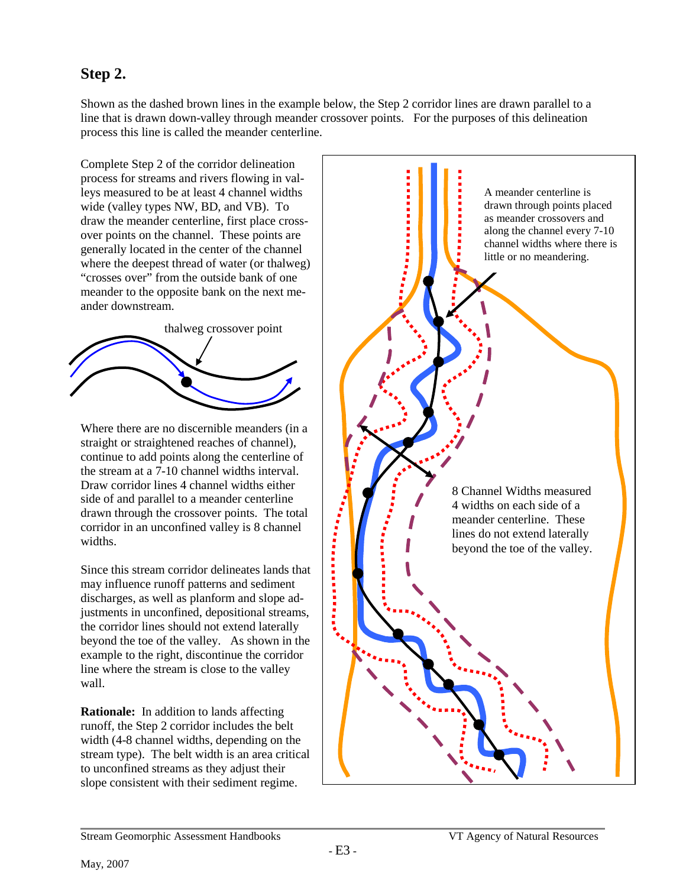## **Step 2.**

Shown as the dashed brown lines in the example below, the Step 2 corridor lines are drawn parallel to a line that is drawn down-valley through meander crossover points. For the purposes of this delineation process this line is called the meander centerline.

Complete Step 2 of the corridor delineation process for streams and rivers flowing in valleys measured to be at least 4 channel widths wide (valley types NW, BD, and VB). To draw the meander centerline, first place crossover points on the channel. These points are generally located in the center of the channel where the deepest thread of water (or thalweg) "crosses over" from the outside bank of one meander to the opposite bank on the next meander downstream.



Where there are no discernible meanders (in a straight or straightened reaches of channel), continue to add points along the centerline of the stream at a 7-10 channel widths interval. Draw corridor lines 4 channel widths either side of and parallel to a meander centerline drawn through the crossover points. The total corridor in an unconfined valley is 8 channel widths.

Since this stream corridor delineates lands that may influence runoff patterns and sediment discharges, as well as planform and slope adjustments in unconfined, depositional streams, the corridor lines should not extend laterally beyond the toe of the valley. As shown in the example to the right, discontinue the corridor line where the stream is close to the valley wall.

**Rationale:** In addition to lands affecting runoff, the Step 2 corridor includes the belt width (4-8 channel widths, depending on the stream type). The belt width is an area critical to unconfined streams as they adjust their slope consistent with their sediment regime.

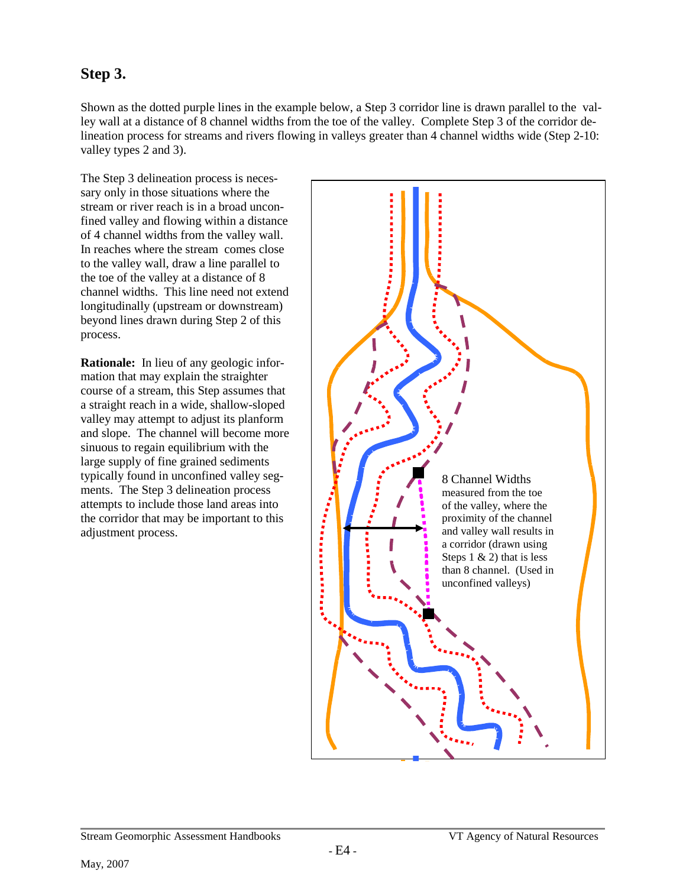## **Step 3.**

Shown as the dotted purple lines in the example below, a Step 3 corridor line is drawn parallel to the valley wall at a distance of 8 channel widths from the toe of the valley. Complete Step 3 of the corridor delineation process for streams and rivers flowing in valleys greater than 4 channel widths wide (Step 2-10: valley types 2 and 3).

The Step 3 delineation process is necessary only in those situations where the stream or river reach is in a broad unconfined valley and flowing within a distance of 4 channel widths from the valley wall. In reaches where the stream comes close to the valley wall, draw a line parallel to the toe of the valley at a distance of 8 channel widths. This line need not extend longitudinally (upstream or downstream) beyond lines drawn during Step 2 of this process.

**Rationale:** In lieu of any geologic information that may explain the straighter course of a stream, this Step assumes that a straight reach in a wide, shallow-sloped valley may attempt to adjust its planform and slope. The channel will become more sinuous to regain equilibrium with the large supply of fine grained sediments typically found in unconfined valley segments. The Step 3 delineation process attempts to include those land areas into the corridor that may be important to this adjustment process.

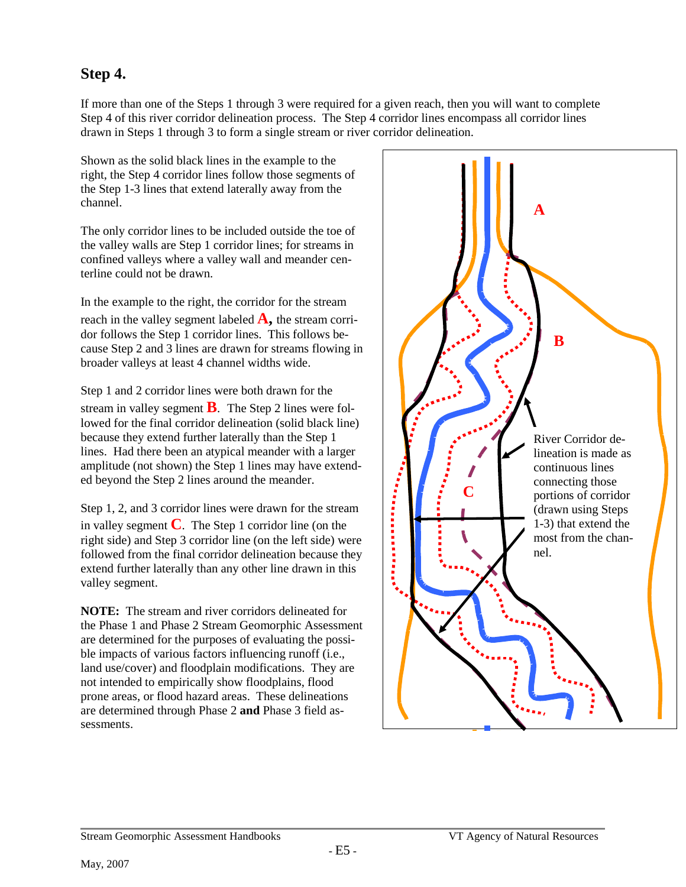## **Step 4.**

If more than one of the Steps 1 through 3 were required for a given reach, then you will want to complete Step 4 of this river corridor delineation process. The Step 4 corridor lines encompass all corridor lines drawn in Steps 1 through 3 to form a single stream or river corridor delineation.

Shown as the solid black lines in the example to the right, the Step 4 corridor lines follow those segments of the Step 1-3 lines that extend laterally away from the channel.

The only corridor lines to be included outside the toe of the valley walls are Step 1 corridor lines; for streams in confined valleys where a valley wall and meander centerline could not be drawn.

In the example to the right, the corridor for the stream reach in the valley segment labeled  $\mathbf{A}$ , the stream corridor follows the Step 1 corridor lines. This follows because Step 2 and 3 lines are drawn for streams flowing in broader valleys at least 4 channel widths wide.

Step 1 and 2 corridor lines were both drawn for the stream in valley segment **B**. The Step 2 lines were followed for the final corridor delineation (solid black line) because they extend further laterally than the Step 1 lines. Had there been an atypical meander with a larger amplitude (not shown) the Step 1 lines may have extended beyond the Step 2 lines around the meander.

Step 1, 2, and 3 corridor lines were drawn for the stream in valley segment  $\bf{C}$ . The Step 1 corridor line (on the right side) and Step 3 corridor line (on the left side) were followed from the final corridor delineation because they extend further laterally than any other line drawn in this valley segment.

**NOTE:** The stream and river corridors delineated for the Phase 1 and Phase 2 Stream Geomorphic Assessment are determined for the purposes of evaluating the possible impacts of various factors influencing runoff (i.e., land use/cover) and floodplain modifications. They are not intended to empirically show floodplains, flood prone areas, or flood hazard areas. These delineations are determined through Phase 2 **and** Phase 3 field assessments.

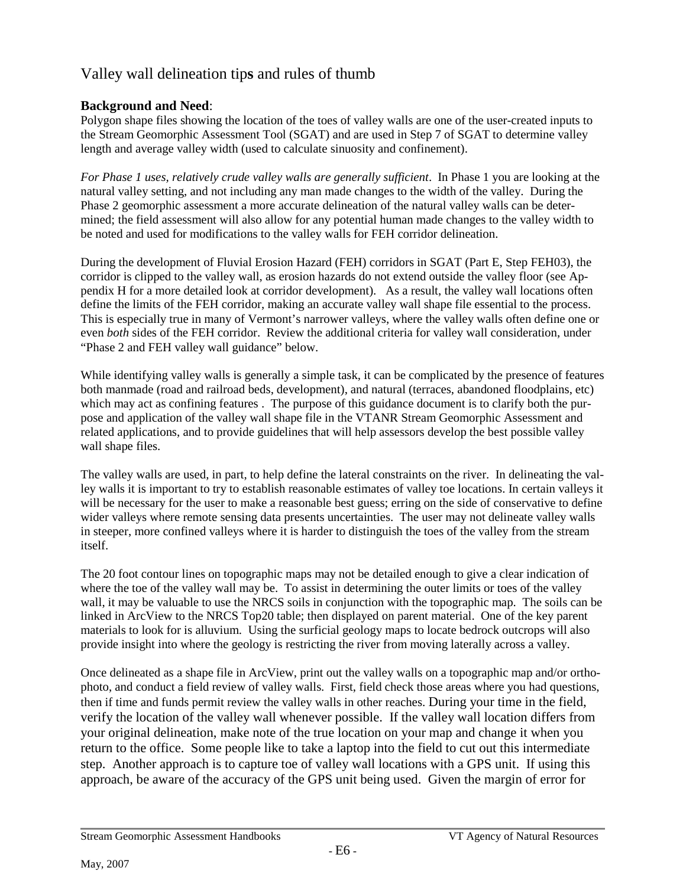## Valley wall delineation tip**s** and rules of thumb

#### **Background and Need**:

Polygon shape files showing the location of the toes of valley walls are one of the user-created inputs to the Stream Geomorphic Assessment Tool (SGAT) and are used in Step 7 of SGAT to determine valley length and average valley width (used to calculate sinuosity and confinement).

*For Phase 1 uses, relatively crude valley walls are generally sufficient*. In Phase 1 you are looking at the natural valley setting, and not including any man made changes to the width of the valley. During the Phase 2 geomorphic assessment a more accurate delineation of the natural valley walls can be determined; the field assessment will also allow for any potential human made changes to the valley width to be noted and used for modifications to the valley walls for FEH corridor delineation.

During the development of Fluvial Erosion Hazard (FEH) corridors in SGAT (Part E, Step FEH03), the corridor is clipped to the valley wall, as erosion hazards do not extend outside the valley floor (see Appendix H for a more detailed look at corridor development). As a result, the valley wall locations often define the limits of the FEH corridor, making an accurate valley wall shape file essential to the process. This is especially true in many of Vermont's narrower valleys, where the valley walls often define one or even *both* sides of the FEH corridor. Review the additional criteria for valley wall consideration, under "Phase 2 and FEH valley wall guidance" below.

While identifying valley walls is generally a simple task, it can be complicated by the presence of features both manmade (road and railroad beds, development), and natural (terraces, abandoned floodplains, etc) which may act as confining features . The purpose of this guidance document is to clarify both the purpose and application of the valley wall shape file in the VTANR Stream Geomorphic Assessment and related applications, and to provide guidelines that will help assessors develop the best possible valley wall shape files.

The valley walls are used, in part, to help define the lateral constraints on the river. In delineating the valley walls it is important to try to establish reasonable estimates of valley toe locations. In certain valleys it will be necessary for the user to make a reasonable best guess; erring on the side of conservative to define wider valleys where remote sensing data presents uncertainties. The user may not delineate valley walls in steeper, more confined valleys where it is harder to distinguish the toes of the valley from the stream itself.

The 20 foot contour lines on topographic maps may not be detailed enough to give a clear indication of where the toe of the valley wall may be. To assist in determining the outer limits or toes of the valley wall, it may be valuable to use the NRCS soils in conjunction with the topographic map. The soils can be linked in ArcView to the NRCS Top20 table; then displayed on parent material. One of the key parent materials to look for is alluvium. Using the surficial geology maps to locate bedrock outcrops will also provide insight into where the geology is restricting the river from moving laterally across a valley.

Once delineated as a shape file in ArcView, print out the valley walls on a topographic map and/or orthophoto, and conduct a field review of valley walls. First, field check those areas where you had questions, then if time and funds permit review the valley walls in other reaches. During your time in the field, verify the location of the valley wall whenever possible. If the valley wall location differs from your original delineation, make note of the true location on your map and change it when you return to the office. Some people like to take a laptop into the field to cut out this intermediate step. Another approach is to capture toe of valley wall locations with a GPS unit. If using this approach, be aware of the accuracy of the GPS unit being used. Given the margin of error for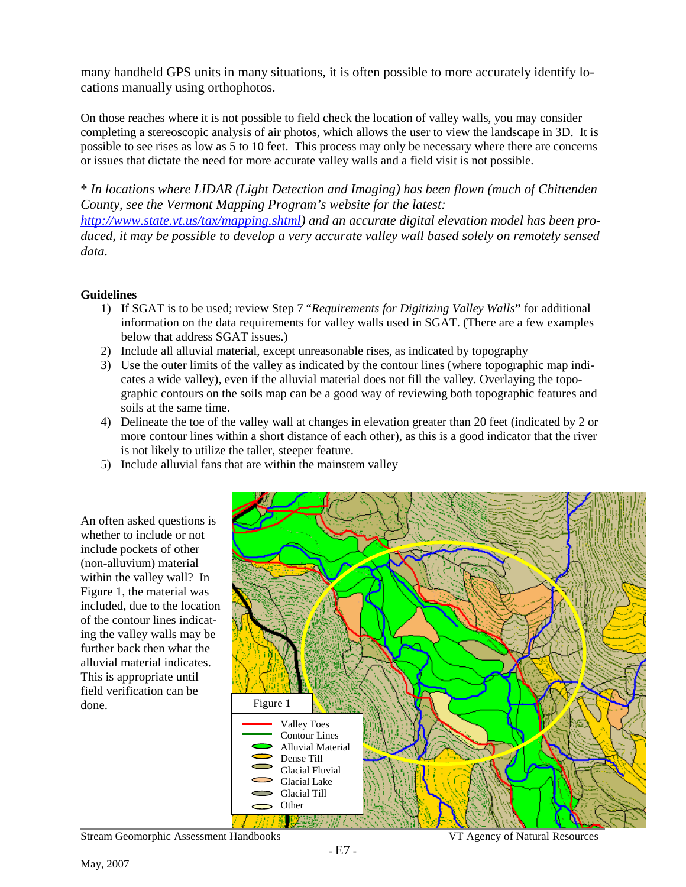many handheld GPS units in many situations, it is often possible to more accurately identify locations manually using orthophotos.

On those reaches where it is not possible to field check the location of valley walls, you may consider completing a stereoscopic analysis of air photos, which allows the user to view the landscape in 3D. It is possible to see rises as low as 5 to 10 feet. This process may only be necessary where there are concerns or issues that dictate the need for more accurate valley walls and a field visit is not possible.

\* *In locations where LIDAR (Light Detection and Imaging) has been flown (much of Chittenden County, see the Vermont Mapping Program's website for the latest:* 

*[http://www.state.vt.us/tax/mapping.shtml\)](http://www.state.vt.us/tax/mapping.shtml) and an accurate digital elevation model has been produced, it may be possible to develop a very accurate valley wall based solely on remotely sensed data.*

#### **Guidelines**

- 1) If SGAT is to be used; review Step 7 "*Requirements for Digitizing Valley Walls***"** for additional information on the data requirements for valley walls used in SGAT. (There are a few examples below that address SGAT issues.)
- 2) Include all alluvial material, except unreasonable rises, as indicated by topography
- 3) Use the outer limits of the valley as indicated by the contour lines (where topographic map indicates a wide valley), even if the alluvial material does not fill the valley. Overlaying the topographic contours on the soils map can be a good way of reviewing both topographic features and soils at the same time.
- 4) Delineate the toe of the valley wall at changes in elevation greater than 20 feet (indicated by 2 or more contour lines within a short distance of each other), as this is a good indicator that the river is not likely to utilize the taller, steeper feature.
- 5) Include alluvial fans that are within the mainstem valley





Stream Geomorphic Assessment Handbooks VT Agency of Natural Resources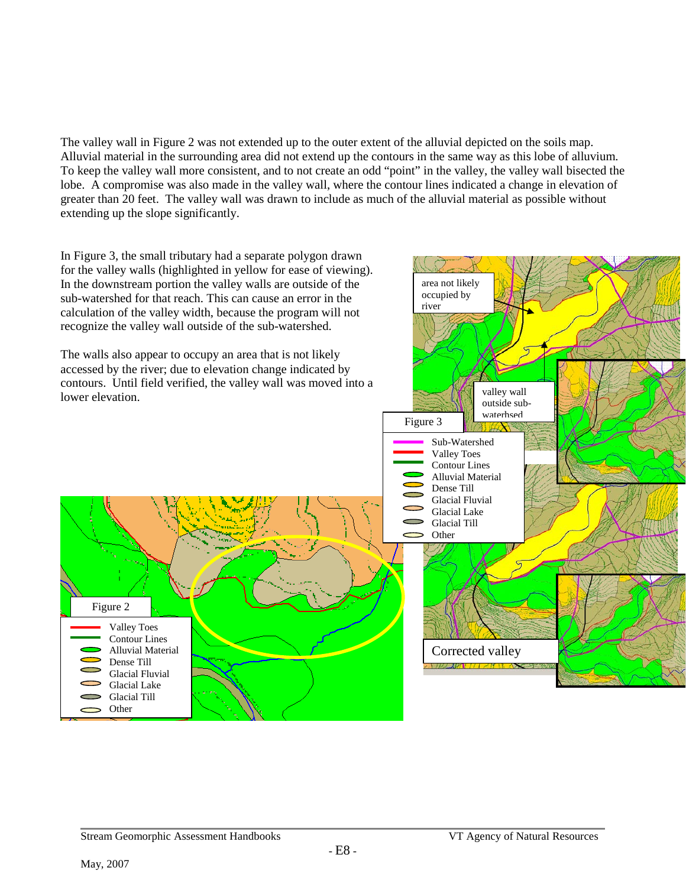The valley wall in Figure 2 was not extended up to the outer extent of the alluvial depicted on the soils map. Alluvial material in the surrounding area did not extend up the contours in the same way as this lobe of alluvium. To keep the valley wall more consistent, and to not create an odd "point" in the valley, the valley wall bisected the lobe. A compromise was also made in the valley wall, where the contour lines indicated a change in elevation of greater than 20 feet. The valley wall was drawn to include as much of the alluvial material as possible without extending up the slope significantly.

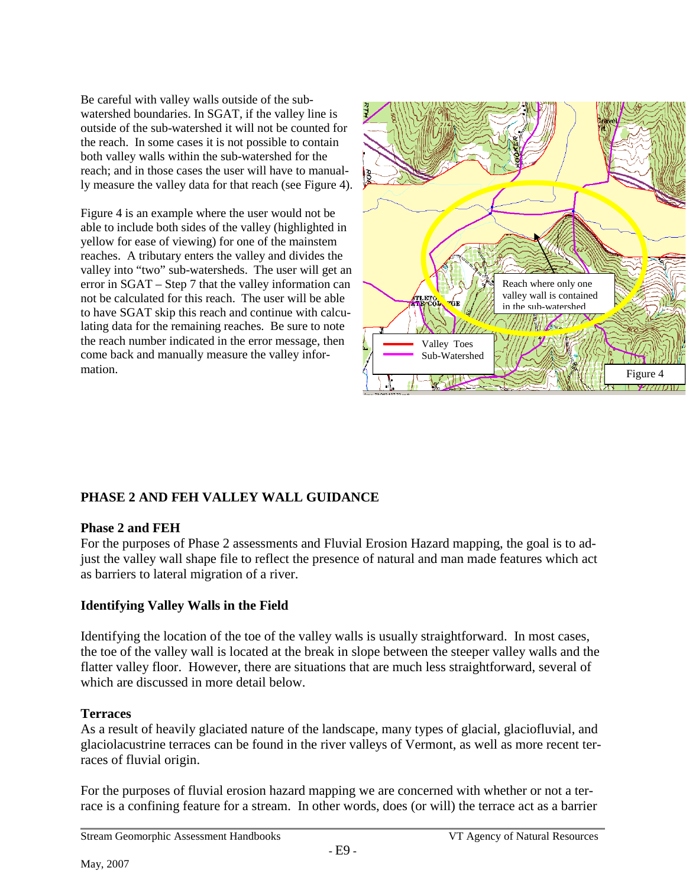Be careful with valley walls outside of the subwatershed boundaries. In SGAT, if the valley line is outside of the sub-watershed it will not be counted for the reach. In some cases it is not possible to contain both valley walls within the sub-watershed for the reach; and in those cases the user will have to manually measure the valley data for that reach (see Figure 4).

Figure 4 is an example where the user would not be able to include both sides of the valley (highlighted in yellow for ease of viewing) for one of the mainstem reaches. A tributary enters the valley and divides the valley into "two" sub-watersheds. The user will get an error in SGAT – Step 7 that the valley information can not be calculated for this reach. The user will be able to have SGAT skip this reach and continue with calculating data for the remaining reaches. Be sure to note the reach number indicated in the error message, then come back and manually measure the valley information.



### **PHASE 2 AND FEH VALLEY WALL GUIDANCE**

#### **Phase 2 and FEH**

For the purposes of Phase 2 assessments and Fluvial Erosion Hazard mapping, the goal is to adjust the valley wall shape file to reflect the presence of natural and man made features which act as barriers to lateral migration of a river.

#### **Identifying Valley Walls in the Field**

Identifying the location of the toe of the valley walls is usually straightforward. In most cases, the toe of the valley wall is located at the break in slope between the steeper valley walls and the flatter valley floor. However, there are situations that are much less straightforward, several of which are discussed in more detail below.

#### **Terraces**

As a result of heavily glaciated nature of the landscape, many types of glacial, glaciofluvial, and glaciolacustrine terraces can be found in the river valleys of Vermont, as well as more recent terraces of fluvial origin.

For the purposes of fluvial erosion hazard mapping we are concerned with whether or not a terrace is a confining feature for a stream. In other words, does (or will) the terrace act as a barrier